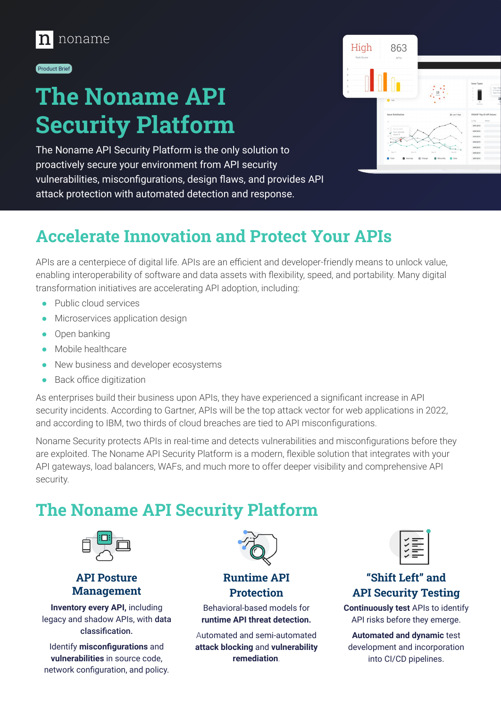

#### Product Brief

# **The Noname API Security Platform**

The Noname API Security Platform is the only solution to proactively secure your environment from API security vulnerabilities, misconfigurations, design flaws, and provides API attack protection with automated detection and response.



## **Accelerate Innovation and Protect Your APIs**

APIs are a centerpiece of digital life. APIs are an efficient and developer-friendly means to unlock value, enabling interoperability of software and data assets with flexibility, speed, and portability. Many digital transformation initiatives are accelerating API adoption, including:

- Public cloud services
- Microservices application design
- Open banking
- Mobile healthcare
- New business and developer ecosystems
- Back office digitization

As enterprises build their business upon APIs, they have experienced a significant increase in API security incidents. According to Gartner, APIs will be the top attack vector for web applications in 2022, and according to IBM, two thirds of cloud breaches are tied to API misconfigurations.

Noname Security protects APIs in real-time and detects vulnerabilities and misconfigurations before they are exploited. The Noname API Security Platform is a modern, flexible solution that integrates with your API gateways, load balancers, WAFs, and much more to offer deeper visibility and comprehensive API security.

## **The Noname API Security Platform**



**API Posture Management**

**Inventory every API,** including legacy and shadow APIs, with data classification.

Identify **misconfigurations** and **vulnerabilities** in source code, network configuration, and policy.



**Runtime API Protection**

Behavioral-based models for **runtime API threat detection.**

Automated and semi-automated **attack blocking** and **vulnerability remediation**.

### **"Shift Left" and API Security Testing**

**Continuously test** APIs to identify API risks before they emerge.

**Automated and dynamic** test development and incorporation into CI/CD pipelines.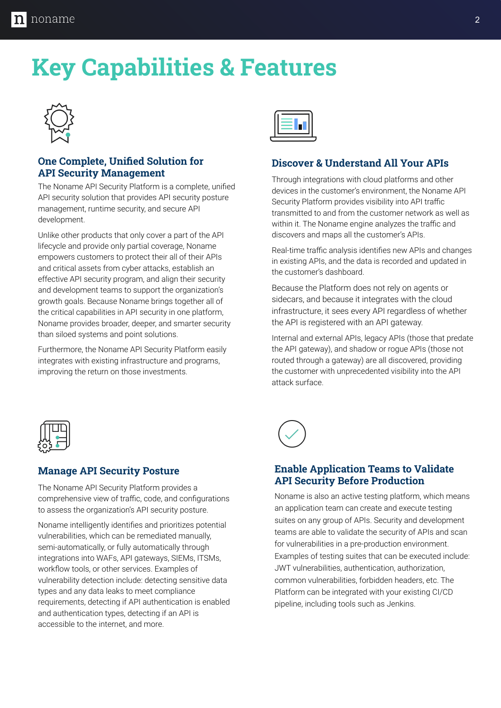# **Key Capabilities & Features**



#### **One Complete, Unified Solution for API Security Management**

The Noname API Security Platform is a complete, unified API security solution that provides API security posture management, runtime security, and secure API development.

Unlike other products that only cover a part of the API lifecycle and provide only partial coverage, Noname empowers customers to protect their all of their APIs and critical assets from cyber attacks, establish an effective API security program, and align their security and development teams to support the organization's growth goals. Because Noname brings together all of the critical capabilities in API security in one platform, Noname provides broader, deeper, and smarter security than siloed systems and point solutions.

Furthermore, the Noname API Security Platform easily integrates with existing infrastructure and programs, improving the return on those investments.



### **Discover & Understand All Your APIs**

Through integrations with cloud platforms and other devices in the customer's environment, the Noname API Security Platform provides visibility into API traffic transmitted to and from the customer network as well as within it. The Noname engine analyzes the traffic and discovers and maps all the customer's APIs.

Real-time traffic analysis identifies new APIs and changes in existing APIs, and the data is recorded and updated in the customer's dashboard.

Because the Platform does not rely on agents or sidecars, and because it integrates with the cloud infrastructure, it sees every API regardless of whether the API is registered with an API gateway.

Internal and external APIs, legacy APIs (those that predate the API gateway), and shadow or rogue APIs (those not routed through a gateway) are all discovered, providing the customer with unprecedented visibility into the API attack surface.



#### **Manage API Security Posture**

The Noname API Security Platform provides a comprehensive view of traffic, code, and configurations to assess the organization's API security posture.

Noname intelligently identifies and prioritizes potential vulnerabilities, which can be remediated manually, semi-automatically, or fully automatically through integrations into WAFs, API gateways, SIEMs, ITSMs, workflow tools, or other services. Examples of vulnerability detection include: detecting sensitive data types and any data leaks to meet compliance requirements, detecting if API authentication is enabled and authentication types, detecting if an API is accessible to the internet, and more.



#### **Enable Application Teams to Validate API Security Before Production**

Noname is also an active testing platform, which means an application team can create and execute testing suites on any group of APIs. Security and development teams are able to validate the security of APIs and scan for vulnerabilities in a pre-production environment. Examples of testing suites that can be executed include: JWT vulnerabilities, authentication, authorization, common vulnerabilities, forbidden headers, etc. The Platform can be integrated with your existing CI/CD pipeline, including tools such as Jenkins.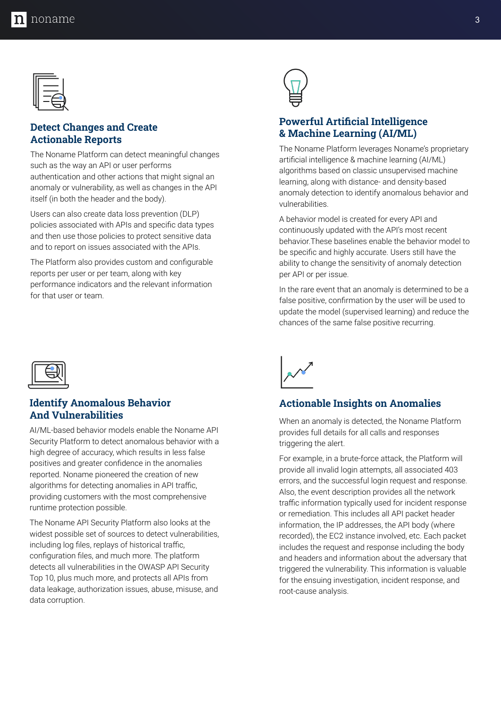#### **Detect Changes and Create Actionable Reports**

The Noname Platform can detect meaningful changes such as the way an API or user performs authentication and other actions that might signal an anomaly or vulnerability, as well as changes in the API itself (in both the header and the body).

Users can also create data loss prevention (DLP) policies associated with APIs and specific data types and then use those policies to protect sensitive data and to report on issues associated with the APIs.

The Platform also provides custom and configurable reports per user or per team, along with key performance indicators and the relevant information for that user or team.



#### **Identify Anomalous Behavior And Vulnerabilities**

AI/ML-based behavior models enable the Noname API Security Platform to detect anomalous behavior with a high degree of accuracy, which results in less false positives and greater confidence in the anomalies reported. Noname pioneered the creation of new algorithms for detecting anomalies in API traffic, providing customers with the most comprehensive runtime protection possible.

The Noname API Security Platform also looks at the widest possible set of sources to detect vulnerabilities, including log files, replays of historical traffic, configuration files, and much more. The platform detects all vulnerabilities in the OWASP API Security Top 10, plus much more, and protects all APIs from data leakage, authorization issues, abuse, misuse, and data corruption.



### **Powerful Artificial Intelligence & Machine Learning (AI/ML)**

The Noname Platform leverages Noname's proprietary artificial intelligence & machine learning (AI/ML) algorithms based on classic unsupervised machine learning, along with distance- and density-based anomaly detection to identify anomalous behavior and vulnerabilities.

A behavior model is created for every API and continuously updated with the API's most recent behavior.These baselines enable the behavior model to be specific and highly accurate. Users still have the ability to change the sensitivity of anomaly detection per API or per issue.

In the rare event that an anomaly is determined to be a false positive, confirmation by the user will be used to update the model (supervised learning) and reduce the chances of the same false positive recurring.



#### **Actionable Insights on Anomalies**

When an anomaly is detected, the Noname Platform provides full details for all calls and responses triggering the alert.

For example, in a brute-force attack, the Platform will provide all invalid login attempts, all associated 403 errors, and the successful login request and response. Also, the event description provides all the network traffic information typically used for incident response or remediation. This includes all API packet header information, the IP addresses, the API body (where recorded), the EC2 instance involved, etc. Each packet includes the request and response including the body and headers and information about the adversary that triggered the vulnerability. This information is valuable for the ensuing investigation, incident response, and root-cause analysis.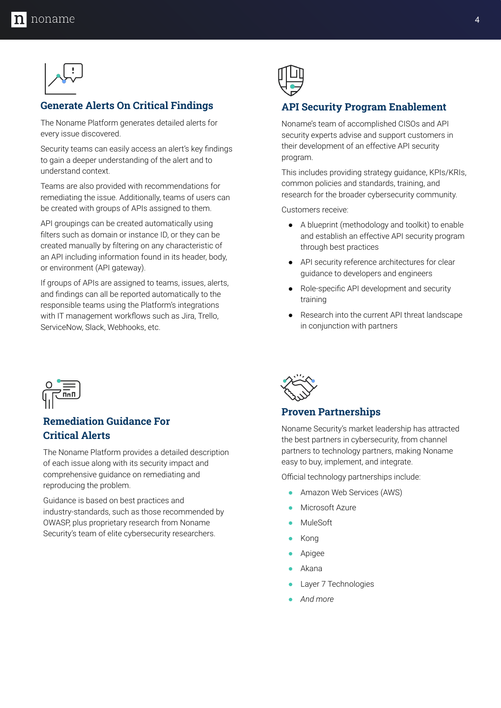

#### **Generate Alerts On Critical Findings**

The Noname Platform generates detailed alerts for every issue discovered.

Security teams can easily access an alert's key findings to gain a deeper understanding of the alert and to understand context.

Teams are also provided with recommendations for remediating the issue. Additionally, teams of users can be created with groups of APIs assigned to them.

API groupings can be created automatically using filters such as domain or instance ID, or they can be created manually by filtering on any characteristic of an API including information found in its header, body, or environment (API gateway).

If groups of APIs are assigned to teams, issues, alerts, and findings can all be reported automatically to the responsible teams using the Platform's integrations with IT management workflows such as Jira, Trello, ServiceNow, Slack, Webhooks, etc.



#### **API Security Program Enablement**

Noname's team of accomplished CISOs and API security experts advise and support customers in their development of an effective API security program.

This includes providing strategy guidance, KPIs/KRIs, common policies and standards, training, and research for the broader cybersecurity community.

Customers receive:

- A blueprint (methodology and toolkit) to enable and establish an effective API security program through best practices
- API security reference architectures for clear guidance to developers and engineers
- Role-specific API development and security training
- Research into the current API threat landscape in conjunction with partners



### **Remediation Guidance For Critical Alerts**

The Noname Platform provides a detailed description of each issue along with its security impact and comprehensive guidance on remediating and reproducing the problem.

Guidance is based on best practices and industry-standards, such as those recommended by OWASP, plus proprietary research from Noname Security's team of elite cybersecurity researchers.



#### **Proven Partnerships**

Noname Security's market leadership has attracted the best partners in cybersecurity, from channel partners to technology partners, making Noname easy to buy, implement, and integrate.

Official technology partnerships include:

- Amazon Web Services (AWS)
- Microsoft Azure
- **MuleSoft**
- **Kong**
- **Apigee**
- Akana
- Layer 7 Technologies
- *● And more*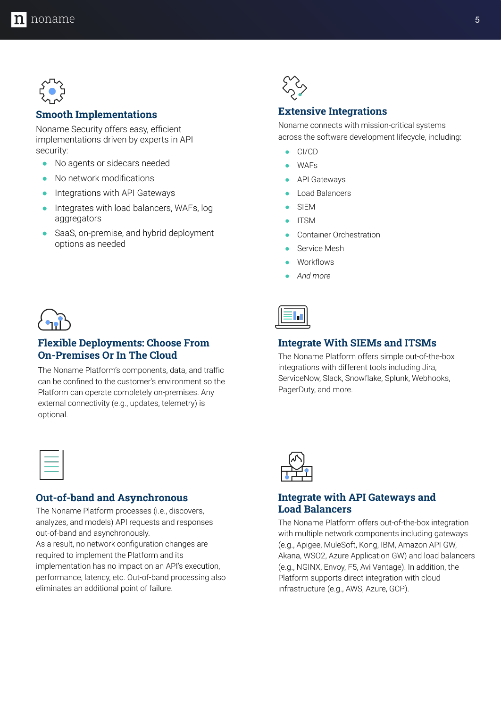

#### **Smooth Implementations**

Noname Security offers easy, efficient implementations driven by experts in API security:

- No agents or sidecars needed
- No network modifications
- **•** Integrations with API Gateways
- Integrates with load balancers, WAFs, log aggregators
- SaaS, on-premise, and hybrid deployment options as needed



#### **Extensive Integrations**

Noname connects with mission-critical systems across the software development lifecycle, including:

- CI/CD
- **WAFs**
- **API Gateways**
- **Load Balancers**
- **SIEM**
- **ITSM**
- Container Orchestration
- Service Mesh
- **Workflows**
- *● And more*



#### **Flexible Deployments: Choose From On-Premises Or In The Cloud**

The Noname Platform's components, data, and traffic can be confined to the customer's environment so the Platform can operate completely on-premises. Any external connectivity (e.g., updates, telemetry) is optional.

#### **Out-of-band and Asynchronous**

The Noname Platform processes (i.e., discovers, analyzes, and models) API requests and responses out-of-band and asynchronously.

As a result, no network configuration changes are required to implement the Platform and its implementation has no impact on an API's execution, performance, latency, etc. Out-of-band processing also eliminates an additional point of failure.



#### **Integrate With SIEMs and ITSMs**

The Noname Platform offers simple out-of-the-box integrations with different tools including Jira, ServiceNow, Slack, Snowflake, Splunk, Webhooks, PagerDuty, and more.



#### **Integrate with API Gateways and Load Balancers**

The Noname Platform offers out-of-the-box integration with multiple network components including gateways (e.g., Apigee, MuleSoft, Kong, IBM, Amazon API GW, Akana, WSO2, Azure Application GW) and load balancers (e.g., NGINX, Envoy, F5, Avi Vantage). In addition, the Platform supports direct integration with cloud infrastructure (e.g., AWS, Azure, GCP).